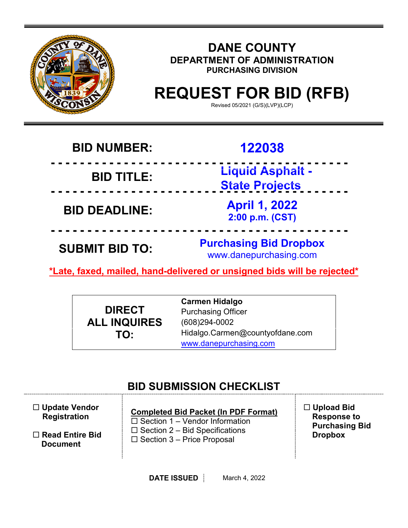

# **DANE COUNTY DEPARTMENT OF ADMINISTRATION PURCHASING DIVISION**

# **REQUEST FOR BID (RFB)**

Revised 05/2021 (G/S)(LVP)(LCP)

# **BID NUMBER: 122038**

**- - - - - - - - - - - - - - - - - - - - - - - - - - - - - - - - - - - - - - - - - BID TITLE: Liquid Asphalt - State Projects - - - - - - - - - - - - - - - - - - - - - - - - - - - - - - - - - - - - - - - - -**

**BID DEADLINE: April 1, 2022**

**- - - - - - - - - - - - - - - - - - - - - - - - - - - - - - - - - - - - - - - - - SUBMIT BID TO: Purchasing Bid Dropbox** www.danepurchasing.com

**2:00 p.m. (CST)**

**\*Late, faxed, mailed, hand-delivered or unsigned bids will be rejected\***

**DIRECT ALL INQUIRES TO:**

**Carmen Hidalgo** Purchasing Officer (608)294-0002 Hidalgo.Carmen@countyofdane.com [www.danepurchasing.com](http://www.danepurchasing.com/)

# **BID SUBMISSION CHECKLIST**

| $\Box$ Update Vendor<br><b>Registration</b> | <b>Completed Bid Packet (In PDF Format)</b><br>$\Box$ Section 1 – Vendor Information<br>$\Box$ Section 2 – Bid Specifications<br>$\Box$ Section 3 – Price Proposal | $\Box$ Upload Bid<br><b>Response to</b><br><b>Purchasing Bid</b><br><b>Dropbox</b> |
|---------------------------------------------|--------------------------------------------------------------------------------------------------------------------------------------------------------------------|------------------------------------------------------------------------------------|
| $\Box$ Read Entire Bid<br><b>Document</b>   |                                                                                                                                                                    |                                                                                    |

**DATE ISSUED** March 4, 2022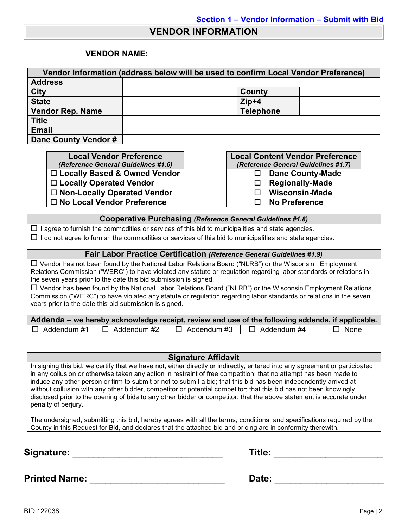#### **VENDOR INFORMATION**

#### **VENDOR NAME:**

| Vendor Information (address below will be used to confirm Local Vendor Preference) |                  |  |  |
|------------------------------------------------------------------------------------|------------------|--|--|
| <b>Address</b>                                                                     |                  |  |  |
| <b>City</b>                                                                        | County           |  |  |
| <b>State</b>                                                                       | $Zip+4$          |  |  |
| <b>Vendor Rep. Name</b>                                                            | <b>Telephone</b> |  |  |
| <b>Title</b>                                                                       |                  |  |  |
| <b>Email</b>                                                                       |                  |  |  |
| Dane County Vendor #                                                               |                  |  |  |

**Local Vendor Preference** *(Reference General Guidelines #1.6)* □ Locally Based & Owned Vendor **Locally Operated Vendor □ Non-Locally Operated Vendor No Local Vendor Preference No Preference**

| <b>Local Content Vendor Preference</b> |                                     |  |
|----------------------------------------|-------------------------------------|--|
|                                        | (Reference General Guidelines #1.7) |  |
| ப                                      | <b>Dane County-Made</b>             |  |
| ΙI                                     | <b>Regionally-Made</b>              |  |
| LΙ                                     | <b>Wisconsin-Made</b>               |  |
| LΙ                                     | <b>No Preference</b>                |  |

#### **Cooperative Purchasing** *(Reference General Guidelines #1.8)*

 $\Box$  I agree to furnish the commodities or services of this bid to municipalities and state agencies.  $\Box$  I do not agree to furnish the commodities or services of this bid to municipalities and state agencies.

#### **Fair Labor Practice Certification** *(Reference General Guidelines #1.9)*

 Vendor has not been found by the National Labor Relations Board ("NLRB") or the Wisconsin Employment Relations Commission ("WERC") to have violated any statute or regulation regarding labor standards or relations in the seven years prior to the date this bid submission is signed.

 $\Box$  Vendor has been found by the National Labor Relations Board ("NLRB") or the Wisconsin Employment Relations Commission ("WERC") to have violated any statute or regulation regarding labor standards or relations in the seven years prior to the date this bid submission is signed.

| Addenda – we hereby acknowledge receipt, review and use of the following addenda, if applicable. |                    |                    |             |
|--------------------------------------------------------------------------------------------------|--------------------|--------------------|-------------|
| $\Box$ Addendum #1 $\Box$ Addendum #2                                                            | $\Box$ Addendum #3 | $\Box$ Addendum #4 | $\Box$ None |

#### **Signature Affidavit**

In signing this bid, we certify that we have not, either directly or indirectly, entered into any agreement or participated in any collusion or otherwise taken any action in restraint of free competition; that no attempt has been made to induce any other person or firm to submit or not to submit a bid; that this bid has been independently arrived at without collusion with any other bidder, competitor or potential competitor; that this bid has not been knowingly disclosed prior to the opening of bids to any other bidder or competitor; that the above statement is accurate under penalty of perjury.

The undersigned, submitting this bid, hereby agrees with all the terms, conditions, and specifications required by the County in this Request for Bid, and declares that the attached bid and pricing are in conformity therewith.

**Signature:** \_\_\_\_\_\_\_\_\_\_\_\_\_\_\_\_\_\_\_\_\_\_\_\_\_\_\_\_\_ **Title:** \_\_\_\_\_\_\_\_\_\_\_\_\_\_\_\_\_\_\_\_\_

| Title: |  |
|--------|--|
|        |  |

**Printed Name:** \_\_\_\_\_\_\_\_\_\_\_\_\_\_\_\_\_\_\_\_\_\_\_\_\_\_ **Date:** \_\_\_\_\_\_\_\_\_\_\_\_\_\_\_\_\_\_\_\_\_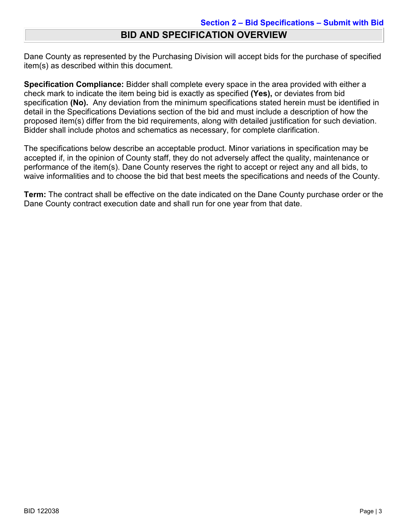## **BID AND SPECIFICATION OVERVIEW**

Dane County as represented by the Purchasing Division will accept bids for the purchase of specified item(s) as described within this document.

**Specification Compliance:** Bidder shall complete every space in the area provided with either a check mark to indicate the item being bid is exactly as specified **(Yes),** or deviates from bid specification **(No).** Any deviation from the minimum specifications stated herein must be identified in detail in the Specifications Deviations section of the bid and must include a description of how the proposed item(s) differ from the bid requirements, along with detailed justification for such deviation. Bidder shall include photos and schematics as necessary, for complete clarification.

The specifications below describe an acceptable product. Minor variations in specification may be accepted if, in the opinion of County staff, they do not adversely affect the quality, maintenance or performance of the item(s). Dane County reserves the right to accept or reject any and all bids, to waive informalities and to choose the bid that best meets the specifications and needs of the County.

**Term:** The contract shall be effective on the date indicated on the Dane County purchase order or the Dane County contract execution date and shall run for one year from that date.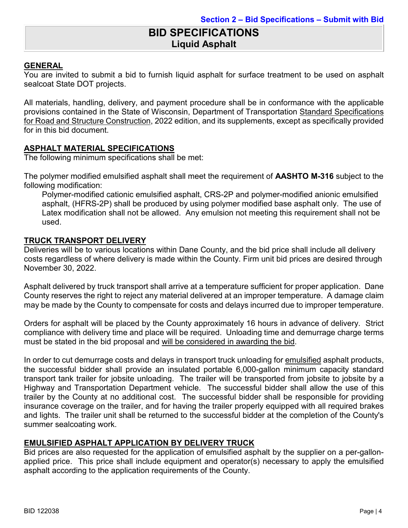# **BID SPECIFICATIONS Liquid Asphalt**

#### **GENERAL**

You are invited to submit a bid to furnish liquid asphalt for surface treatment to be used on asphalt sealcoat State DOT projects.

All materials, handling, delivery, and payment procedure shall be in conformance with the applicable provisions contained in the State of Wisconsin, Department of Transportation Standard Specifications for Road and Structure Construction, 2022 edition, and its supplements, except as specifically provided for in this bid document.

#### **ASPHALT MATERIAL SPECIFICATIONS**

The following minimum specifications shall be met:

The polymer modified emulsified asphalt shall meet the requirement of **AASHTO M-316** subject to the following modification:

Polymer-modified cationic emulsified asphalt, CRS-2P and polymer-modified anionic emulsified asphalt, (HFRS-2P) shall be produced by using polymer modified base asphalt only. The use of Latex modification shall not be allowed. Any emulsion not meeting this requirement shall not be used.

#### **TRUCK TRANSPORT DELIVERY**

Deliveries will be to various locations within Dane County, and the bid price shall include all delivery costs regardless of where delivery is made within the County. Firm unit bid prices are desired through November 30, 2022.

Asphalt delivered by truck transport shall arrive at a temperature sufficient for proper application. Dane County reserves the right to reject any material delivered at an improper temperature. A damage claim may be made by the County to compensate for costs and delays incurred due to improper temperature.

Orders for asphalt will be placed by the County approximately 16 hours in advance of delivery. Strict compliance with delivery time and place will be required. Unloading time and demurrage charge terms must be stated in the bid proposal and will be considered in awarding the bid.

In order to cut demurrage costs and delays in transport truck unloading for emulsified asphalt products, the successful bidder shall provide an insulated portable 6,000-gallon minimum capacity standard transport tank trailer for jobsite unloading. The trailer will be transported from jobsite to jobsite by a Highway and Transportation Department vehicle. The successful bidder shall allow the use of this trailer by the County at no additional cost. The successful bidder shall be responsible for providing insurance coverage on the trailer, and for having the trailer properly equipped with all required brakes and lights. The trailer unit shall be returned to the successful bidder at the completion of the County's summer sealcoating work.

#### **EMULSIFIED ASPHALT APPLICATION BY DELIVERY TRUCK**

Bid prices are also requested for the application of emulsified asphalt by the supplier on a per-gallonapplied price. This price shall include equipment and operator(s) necessary to apply the emulsified asphalt according to the application requirements of the County.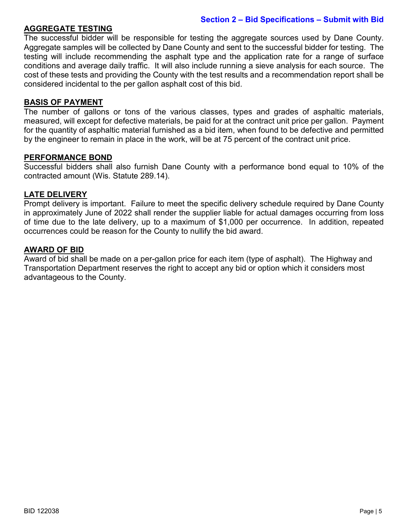#### **Section 2 – Bid Specifications – Submit with Bid**

#### **AGGREGATE TESTING**

The successful bidder will be responsible for testing the aggregate sources used by Dane County. Aggregate samples will be collected by Dane County and sent to the successful bidder for testing. The testing will include recommending the asphalt type and the application rate for a range of surface conditions and average daily traffic. It will also include running a sieve analysis for each source. The cost of these tests and providing the County with the test results and a recommendation report shall be considered incidental to the per gallon asphalt cost of this bid.

#### **BASIS OF PAYMENT**

The number of gallons or tons of the various classes, types and grades of asphaltic materials, measured, will except for defective materials, be paid for at the contract unit price per gallon. Payment for the quantity of asphaltic material furnished as a bid item, when found to be defective and permitted by the engineer to remain in place in the work, will be at 75 percent of the contract unit price.

#### **PERFORMANCE BOND**

Successful bidders shall also furnish Dane County with a performance bond equal to 10% of the contracted amount (Wis. Statute 289.14).

#### **LATE DELIVERY**

Prompt delivery is important. Failure to meet the specific delivery schedule required by Dane County in approximately June of 2022 shall render the supplier liable for actual damages occurring from loss of time due to the late delivery, up to a maximum of \$1,000 per occurrence. In addition, repeated occurrences could be reason for the County to nullify the bid award.

#### **AWARD OF BID**

Award of bid shall be made on a per-gallon price for each item (type of asphalt). The Highway and Transportation Department reserves the right to accept any bid or option which it considers most advantageous to the County.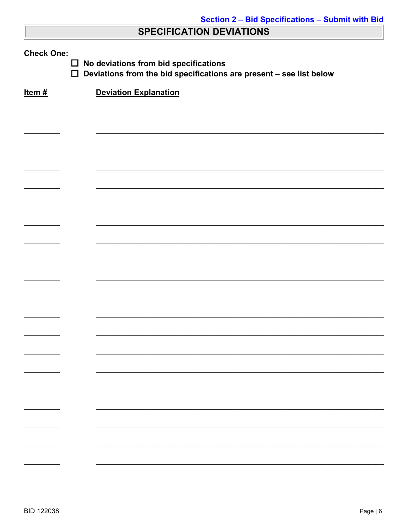# **SPECIFICATION DEVIATIONS**

| <b>Check One:</b><br>No deviations from bid specifications<br>$\Box$<br>$\Box$<br>Deviations from the bid specifications are present - see list below |                              |  |  |
|-------------------------------------------------------------------------------------------------------------------------------------------------------|------------------------------|--|--|
| Item#                                                                                                                                                 | <b>Deviation Explanation</b> |  |  |
|                                                                                                                                                       |                              |  |  |
|                                                                                                                                                       |                              |  |  |
|                                                                                                                                                       |                              |  |  |
|                                                                                                                                                       |                              |  |  |
|                                                                                                                                                       |                              |  |  |
|                                                                                                                                                       |                              |  |  |
|                                                                                                                                                       |                              |  |  |
|                                                                                                                                                       |                              |  |  |
|                                                                                                                                                       |                              |  |  |
|                                                                                                                                                       |                              |  |  |
|                                                                                                                                                       |                              |  |  |
|                                                                                                                                                       |                              |  |  |
|                                                                                                                                                       |                              |  |  |
|                                                                                                                                                       |                              |  |  |
|                                                                                                                                                       |                              |  |  |
|                                                                                                                                                       |                              |  |  |